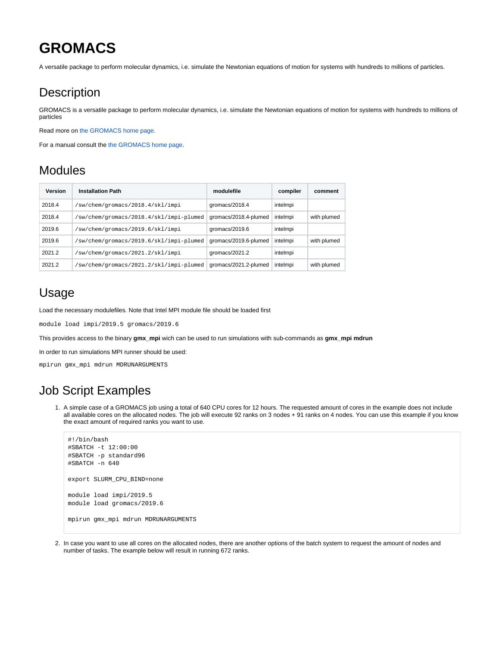# **GROMACS**

A versatile package to perform molecular dynamics, i.e. simulate the Newtonian equations of motion for systems with hundreds to millions of particles.

### **Description**

GROMACS is a versatile package to perform molecular dynamics, i.e. simulate the Newtonian equations of motion for systems with hundreds to millions of particles

Read more on [the GROMACS home page.](https://www.gromacs.org)

For a manual consult the [the GROMACS home page.](https://www.gromacs.org)

#### Modules

| Version | <b>Installation Path</b>                | modulefile            | compiler | comment     |
|---------|-----------------------------------------|-----------------------|----------|-------------|
| 2018.4  | /sw/chem/gromacs/2018.4/skl/impi        | qromacs/2018.4        | intelmpi |             |
| 2018.4  | /sw/chem/gromacs/2018.4/skl/impi-plumed | gromacs/2018.4-plumed | intelmpi | with plumed |
| 2019.6  | sw/chem/gromacs/2019.6/skl/impi         | gromacs/2019.6        | intelmpi |             |
| 2019.6  | /sw/chem/gromacs/2019.6/skl/impi-plumed | gromacs/2019.6-plumed | intelmpi | with plumed |
| 2021.2  | /sw/chem/gromacs/2021.2/skl/impi        | gromacs/ $2021.2$     | intelmpi |             |
| 2021.2  | /sw/chem/gromacs/2021.2/skl/impi-plumed | gromacs/2021.2-plumed | intelmpi | with plumed |

## Usage

Load the necessary modulefiles. Note that Intel MPI module file should be loaded first

module load impi/2019.5 gromacs/2019.6

This provides access to the binary **gmx\_mpi** wich can be used to run simulations with sub-commands as **gmx\_mpi mdrun**

In order to run simulations MPI runner should be used:

mpirun gmx\_mpi mdrun MDRUNARGUMENTS

### Job Script Examples

1. A simple case of a GROMACS job using a total of 640 CPU cores for 12 hours. The requested amount of cores in the example does not include all available cores on the allocated nodes. The job will execute 92 ranks on 3 nodes + 91 ranks on 4 nodes. You can use this example if you know the exact amount of required ranks you want to use.

```
#!/bin/bash
#SBATCH -t 12:00:00
#SBATCH -p standard96
#SBATCH -n 640
export SLURM_CPU_BIND=none
module load impi/2019.5
module load gromacs/2019.6
mpirun gmx_mpi mdrun MDRUNARGUMENTS
```
2. In case you want to use all cores on the allocated nodes, there are another options of the batch system to request the amount of nodes and number of tasks. The example below will result in running 672 ranks.